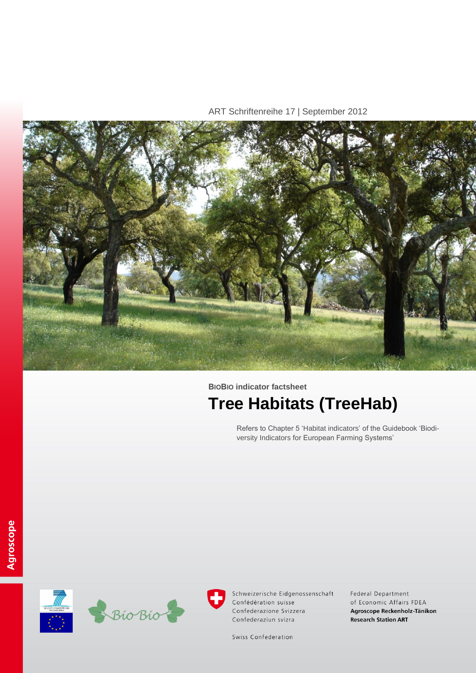ART Schriftenreihe 17 | September 2012



**BIOBIO indicator factsheet Tree Habitats (TreeHab)**

> Refers to Chapter 5 'Habitat indicators' of the Guidebook 'Biodiversity Indicators for European Farming Systems'





Schweizerische Eidgenossenschaft Confédération suisse Confederazione Svizzera Confederaziun svizra

Federal Department of Economic Affairs FDEA Agroscope Reckenholz-Tänikon **Research Station ART** 

Swiss Confederation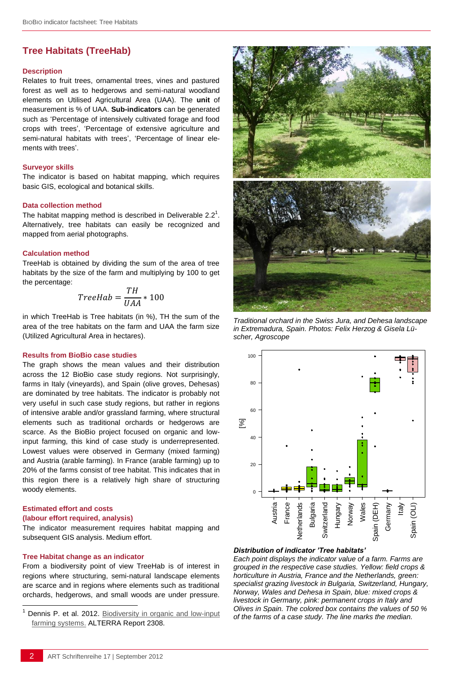# **Tree Habitats (TreeHab)**

#### **Description**

Relates to fruit trees, ornamental trees, vines and pastured forest as well as to hedgerows and semi-natural woodland elements on Utilised Agricultural Area (UAA). The **unit** of measurement is % of UAA. **Sub-indicators** can be generated such as 'Percentage of intensively cultivated forage and food crops with trees', 'Percentage of extensive agriculture and semi-natural habitats with trees', 'Percentage of linear elements with trees'.

#### **Surveyor skills**

The indicator is based on habitat mapping, which requires basic GIS, ecological and botanical skills.

### **Data collection method**

The habitat mapping method is described in [Deliverable 2.2](http://www.biobio-indicator.wur.nl/UK/Publications+and+deliverables/) $<sup>1</sup>$ .</sup> Alternatively, tree habitats can easily be recognized and mapped from aerial photographs.

#### **Calculation method**

TreeHab is obtained by dividing the sum of the area of tree habitats by the size of the farm and multiplying by 100 to get the percentage:

$$
TreeHab = \frac{TH}{UAA} * 100
$$

in which TreeHab is Tree habitats (in %), TH the sum of the area of the tree habitats on the farm and UAA the farm size (Utilized Agricultural Area in hectares).

#### **Results from BioBio case studies**

The graph shows the mean values and their distribution across the 12 BioBio case study regions. Not surprisingly, farms in Italy (vineyards), and Spain (olive groves, Dehesas) are dominated by tree habitats. The indicator is probably not very useful in such case study regions, but rather in regions of intensive arable and/or grassland farming, where structural elements such as traditional orchards or hedgerows are scarce. As the BioBio project focused on organic and lowinput farming, this kind of case study is underrepresented. Lowest values were observed in Germany (mixed farming) and Austria (arable farming). In France (arable farming) up to 20% of the farms consist of tree habitat. This indicates that in this region there is a relatively high share of structuring woody elements.

#### **Estimated effort and costs**

#### **(labour effort required, analysis)**

l

The indicator measurement requires habitat mapping and subsequent GIS analysis. Medium effort.

#### **Tree Habitat change as an indicator**

From a biodiversity point of view TreeHab is of interest in regions where structuring, semi-natural landscape elements are scarce and in regions where elements such as traditional orchards, hedgerows, and small woods are under pressure.



*Traditional orchard in the Swiss Jura, and Dehesa landscape in Extremadura, Spain. Photos: Felix Herzog & Gisela Lüscher, Agroscope*



#### *Distribution of indicator 'Tree habitats'*

timated effort and costs<br>
bour effort required, analysis)<br>
be indicator measurement requires habitat mapping and<br>  $\frac{1}{2}$  is  $\frac{1}{2}$  is  $\frac{1}{2}$  is  $\frac{1}{2}$  is  $\frac{1}{2}$  is  $\frac{1}{2}$  is  $\frac{1}{2}$  is  $\frac{1}{2}$  is  $\frac$ *Each point displays the indicator value of a farm. Farms are grouped in the respective case studies. Yellow: field crops & horticulture in Austria, France and the Netherlands, green: specialist grazing livestock in Bulgaria, Switzerland, Hungary, Norway, Wales and Dehesa in Spain, blue: mixed crops & livestock in Germany, pink: permanent crops in Italy and Olives in Spain. The colored box contains the values of 50 % of the farms of a case study. The line marks the median.* 

Dennis P. et al. 2012. Biodiversity in organic and low-input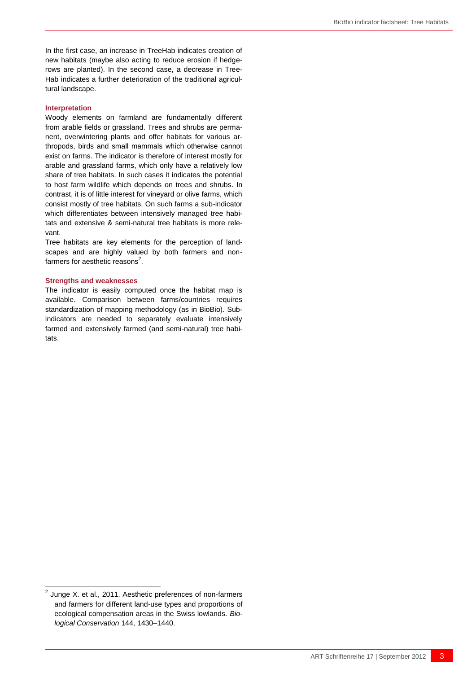In the first case, an increase in TreeHab indicates creation of new habitats (maybe also acting to reduce erosion if hedgerows are planted). In the second case, a decrease in Tree-Hab indicates a further deterioration of the traditional agricultural landscape.

#### **Interpretation**

Woody elements on farmland are fundamentally different from arable fields or grassland. Trees and shrubs are permanent, overwintering plants and offer habitats for various arthropods, birds and small mammals which otherwise cannot exist on farms. The indicator is therefore of interest mostly for arable and grassland farms, which only have a relatively low share of tree habitats. In such cases it indicates the potential to host farm wildlife which depends on trees and shrubs. In contrast, it is of little interest for vineyard or olive farms, which consist mostly of tree habitats. On such farms a sub-indicator which differentiates between intensively managed tree habitats and extensive & semi-natural tree habitats is more relevant.

Tree habitats are key elements for the perception of landscapes and are highly valued by both farmers and nonfarmers for aesthetic reasons<sup>2</sup>.

#### **Strengths and weaknesses**

The indicator is easily computed once the habitat map is available. Comparison between farms/countries requires standardization of mapping methodology (as in BioBio). Subindicators are needed to separately evaluate intensively farmed and extensively farmed (and semi-natural) tree habitats.

-

 $2$  Junge X. et al., 2011. Aesthetic preferences of non-farmers and farmers for different land-use types and proportions of ecological compensation areas in the Swiss lowlands. *Biological Conservation* 144, 1430–1440.